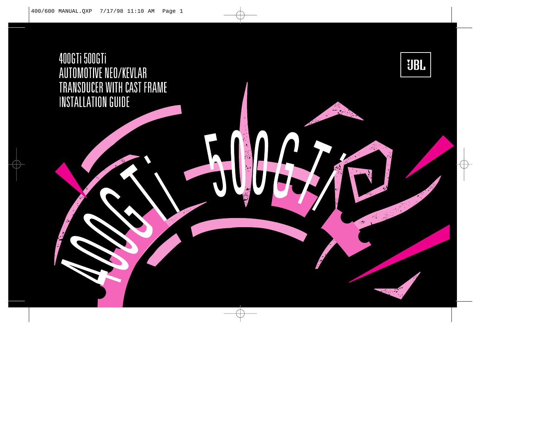# 400GTi 500GTi AUTOMOTIVE NEO/KEVLAR TRANSDUCER WITH CAST FRAME **INSTALLATION GUIDE**

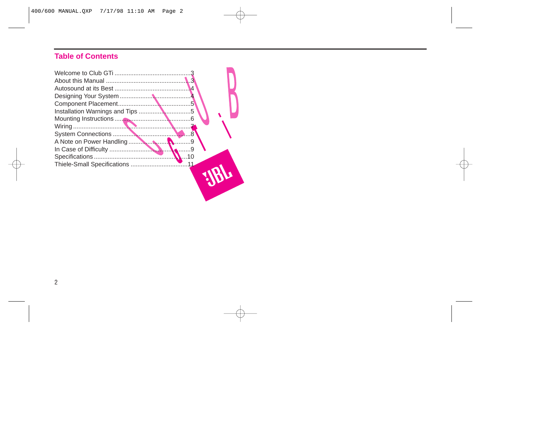# **Table of Contents**

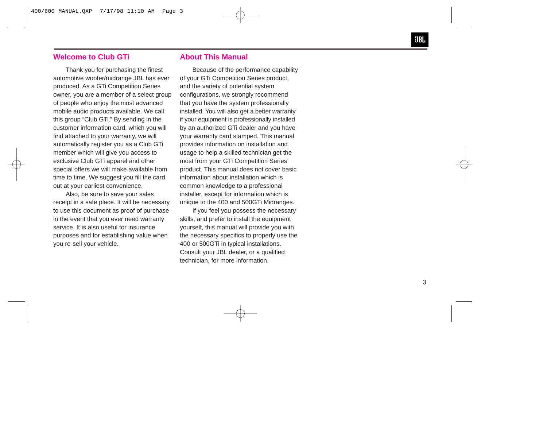#### **Welcome to Club GTi**

Thank you for purchasing the finest automotive woofer/midrange JBL has ever produced. As a GTi Competition Series owner, you are a member of a select group of people who enjoy the most advanced mobile audio products available. We call this group "Club GTi." By sending in the customer information card, which you will find attached to your warranty, we will automatically register you as a Club GTi member which will give you access to exclusive Club GTi apparel and other special offers we will make available from time to time. We suggest you fill the card out at your earliest convenience.

Also, be sure to save your sales receipt in a safe place. It will be necessary to use this document as proof of purchase in the event that you ever need warranty service. It is also useful for insurance purposes and for establishing value when you re-sell your vehicle.

#### **About This Manual**

Because of the performance capability of your GTi Competition Series product, and the variety of potential system configurations, we strongly recommend that you have the system professionally installed. You will also get a better warranty if your equipment is professionally installed by an authorized GTi dealer and you have your warranty card stamped. This manual provides information on installation and usage to help a skilled technician get the most from your GTi Competition Series product. This manual does not cover basic information about installation which is common knowledge to a professional installer, except for information which is unique to the 400 and 500GTi Midranges.

If you feel you possess the necessary skills, and prefer to install the equipment yourself, this manual will provide you with the necessary specifics to properly use the 400 or 500GTi in typical installations. Consult your JBL dealer, or a qualified technician, for more information.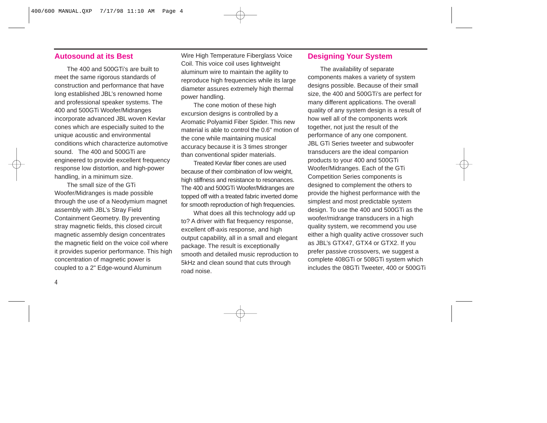#### **Autosound at its Best**

The 400 and 500GTi's are built to meet the same rigorous standards of construction and performance that have long established JBL's renowned home and professional speaker systems. The 400 and 500GTi Woofer/Midranges incorporate advanced JBL woven Kevlar cones which are especially suited to the unique acoustic and environmental conditions which characterize automotive sound. The 400 and 500GTi are engineered to provide excellent frequency response low distortion, and high-power handling, in a minimum size.

The small size of the GTi Woofer/Midranges is made possible through the use of a Neodymium magnet assembly with JBL's Stray Field Containment Geometry. By preventing stray magnetic fields, this closed circuit magnetic assembly design concentrates the magnetic field on the voice coil where it provides superior performance. This high concentration of magnetic power is coupled to a 2" Edge-wound Aluminum

Wire High Temperature Fiberglass Voice Coil. This voice coil uses lightweight aluminum wire to maintain the agility to reproduce high frequencies while its large diameter assures extremely high thermal power handling.

The cone motion of these high excursion designs is controlled by a Aromatic Polyamid Fiber Spider. This new material is able to control the 0.6" motion of the cone while maintaining musical accuracy because it is 3 times stronger than conventional spider materials.

Treated Kevlar fiber cones are used because of their combination of low weight, high stiffness and resistance to resonances. The 400 and 500GTi Woofer/Midranges are topped off with a treated fabric inverted dome for smooth reproduction of high frequencies.

What does all this technology add up to? A driver with flat frequency response, excellent off-axis response, and high output capability, all in a small and elegant package. The result is exceptionally smooth and detailed music reproduction to 5kHz and clean sound that cuts through road noise.

#### **Designing Your System**

The availability of separate components makes a variety of system designs possible. Because of their small size, the 400 and 500GTi's are perfect for many different applications. The overall quality of any system design is a result of how well all of the components work together, not just the result of the performance of any one component. JBL GTi Series tweeter and subwoofer transducers are the ideal companion products to your 400 and 500GTi Woofer/Midranges. Each of the GTi Competition Series components is designed to complement the others to provide the highest performance with the simplest and most predictable system design. To use the 400 and 500GTi as the woofer/midrange transducers in a high quality system, we recommend you use either a high quality active crossover such as JBL's GTX47, GTX4 or GTX2. If you prefer passive crossovers, we suggest a complete 408GTi or 508GTi system which includes the 08GTi Tweeter, 400 or 500GTi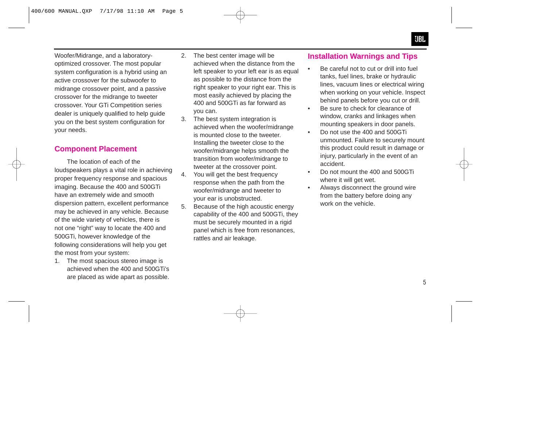Woofer/Midrange, and a laboratoryoptimized crossover. The most popular system configuration is a hybrid using an active crossover for the subwoofer to midrange crossover point, and a passive crossover for the midrange to tweeter crossover. Your GTi Competition series dealer is uniquely qualified to help guide you on the best system configuration for your needs.

# **Component Placement**

The location of each of the loudspeakers plays a vital role in achieving proper frequency response and spacious imaging. Because the 400 and 500GTi have an extremely wide and smooth dispersion pattern, excellent performance may be achieved in any vehicle. Because of the wide variety of vehicles, there is not one "right" way to locate the 400 and 500GTi, however knowledge of the following considerations will help you get the most from your system:

1. The most spacious stereo image is achieved when the 400 and 500GTi's are placed as wide apart as possible.

- 2. The best center image will be achieved when the distance from the left speaker to your left ear is as equal as possible to the distance from the right speaker to your right ear. This is most easily achieved by placing the 400 and 500GTi as far forward as you can.
- 3. The best system integration is achieved when the woofer/midrange is mounted close to the tweeter. Installing the tweeter close to the woofer/midrange helps smooth the transition from woofer/midrange to tweeter at the crossover point.
- 4. You will get the best frequency response when the path from the woofer/midrange and tweeter to your ear is unobstructed.
- 5. Because of the high acoustic energy capability of the 400 and 500GTi, they must be securely mounted in a rigid panel which is free from resonances, rattles and air leakage.

# **Installation Warnings and Tips**

- • Be careful not to cut or drill into fuel tanks, fuel lines, brake or hydraulic lines, vacuum lines or electrical wiring when working on your vehicle. Inspect behind panels before you cut or drill.
- • Be sure to check for clearance of window, cranks and linkages when mounting speakers in door panels.
- • Do not use the 400 and 500GTi unmounted. Failure to securely mount this product could result in damage or injury, particularly in the event of an accident.
- • Do not mount the 400 and 500GTi where it will get wet.
- • Always disconnect the ground wire from the battery before doing any work on the vehicle.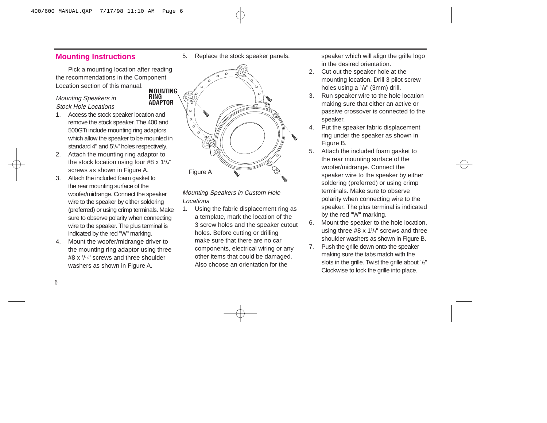# **Mounting Instructions**

Pick a mounting location after reading the recommendations in the Component Location section of this manual. **MOUNTING**

**RING**

#### Mounting Speakers in Stock Hole Locations

- 1. Access the stock speaker location and remove the stock speaker. The 400 and 500GTi include mounting ring adaptors which allow the speaker to be mounted in standard 4" and 51 /4" holes respectively.
- 2. Attach the mounting ring adaptor to the stock location using four #8 x 1¼" screws as shown in Figure A.
- 3. Attach the included foam gasket to the rear mounting surface of the woofer/midrange. Connect the speaker wire to the speaker by either soldering (preferred) or using crimp terminals. Make sure to observe polarity when connecting wire to the speaker. The plus terminal is indicated by the red "W" marking.
- 4. Mount the woofer/midrange driver to the mounting ring adaptor using three #8 x 7 /16" screws and three shoulder washers as shown in Figure A.

5. Replace the stock speaker panels.



Mounting Speakers in Custom Hole Locations

1. Using the fabric displacement ring as a template, mark the location of the 3 screw holes and the speaker cutout holes. Before cutting or drilling make sure that there are no car components, electrical wiring or any other items that could be damaged. Also choose an orientation for the

speaker which will align the grille logo in the desired orientation.

- 2. Cut out the speaker hole at the mounting location. Drill 3 pilot screw holes using a 1/8" (3mm) drill.
- 3. Run speaker wire to the hole location making sure that either an active or passive crossover is connected to the speaker.
- 4. Put the speaker fabric displacement ring under the speaker as shown in Figure B.
- 5. Attach the included foam gasket to the rear mounting surface of the woofer/midrange. Connect the speaker wire to the speaker by either soldering (preferred) or using crimp terminals. Make sure to observe polarity when connecting wire to the speaker. The plus terminal is indicated by the red "W" marking.
- 6. Mount the speaker to the hole location, using three #8 x 11 /4" screws and three shoulder washers as shown in Figure B.
- 7. Push the grille down onto the speaker making sure the tabs match with the slots in the grille. Twist the grille about 1 /2" Clockwise to lock the grille into place.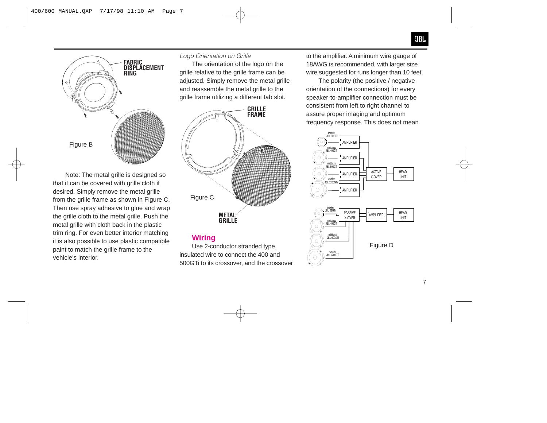

Note: The metal grille is designed so that it can be covered with grille cloth if desired. Simply remove the metal grille from the grille frame as shown in Figure C. Then use spray adhesive to glue and wrap the grille cloth to the metal grille. Push the metal grille with cloth back in the plastic trim ring. For even better interior matching it is also possible to use plastic compatible paint to match the grille frame to the vehicle's interior.

#### *Logo Orientation on Grille*

The orientation of the logo on the grille relative to the grille frame can be adjusted. Simply remove the metal grille and reassemble the metal grille to the grille frame utilizing a different tab slot.



# **Wiring**

Use 2-conductor stranded type, insulated wire to connect the 400 and 500GTi to its crossover, and the crossover to the amplifier. A minimum wire gauge of 18AWG is recommended, with larger size wire suggested for runs longer than 10 feet.

The polarity (the positive / negative orientation of the connections) for every speaker-to-amplifier connection must be consistent from left to right channel to assure proper imaging and optimum frequency response. This does not mean

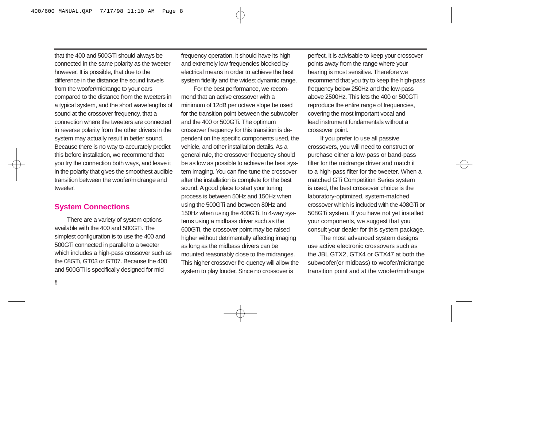that the 400 and 500GTi should always be connected in the same polarity as the tweeter however. It is possible, that due to the difference in the distance the sound travels from the woofer/midrange to your ears compared to the distance from the tweeters in a typical system, and the short wavelengths of sound at the crossover frequency, that a connection where the tweeters are connected in reverse polarity from the other drivers in the system may actually result in better sound. Because there is no way to accurately predict this before installation, we recommend that you try the connection both ways, and leave it in the polarity that gives the smoothest audible transition between the woofer/midrange and tweeter.

## **System Connections**

There are a variety of system options available with the 400 and 500GTi. The simplest configuration is to use the 400 and 500GTi connected in parallel to a tweeter which includes a high-pass crossover such as the 08GTi, GT03 or GT07. Because the 400 and 500GTi is specifically designed for mid

frequency operation, it should have its high and extremely low frequencies blocked by electrical means in order to achieve the best system fidelity and the widest dynamic range.

For the best performance, we recommend that an active crossover with a minimum of 12dB per octave slope be used for the transition point between the subwoofer and the 400 or 500GTi. The optimum crossover frequency for this transition is dependent on the specific components used, the vehicle, and other installation details. As a general rule, the crossover frequency should be as low as possible to achieve the best system imaging. You can fine-tune the crossover after the installation is complete for the best sound. A good place to start your tuning process is between 50Hz and 150Hz when using the 500GTi and between 80Hz and 150Hz when using the 400GTi. In 4-way systems using a midbass driver such as the 600GTi, the crossover point may be raised higher without detrimentally affecting imaging as long as the midbass drivers can be mounted reasonably close to the midranges. This higher crossover fre-quency will allow the system to play louder. Since no crossover is

perfect, it is advisable to keep your crossover points away from the range where your hearing is most sensitive. Therefore we recommend that you try to keep the high-pass frequency below 250Hz and the low-pass above 2500Hz. This lets the 400 or 500GTi reproduce the entire range of frequencies, covering the most important vocal and lead instrument fundamentals without a crossover point.

If you prefer to use all passive crossovers, you will need to construct or purchase either a low-pass or band-pass filter for the midrange driver and match it to a high-pass filter for the tweeter. When a matched GTi Competition Series system is used, the best crossover choice is the laboratory-optimized, system-matched crossover which is included with the 408GTi or 508GTi system. If you have not yet installed your components, we suggest that you consult your dealer for this system package.

The most advanced system designs use active electronic crossovers such as the JBL GTX2, GTX4 or GTX47 at both the subwoofer(or midbass) to woofer/midrange transition point and at the woofer/midrange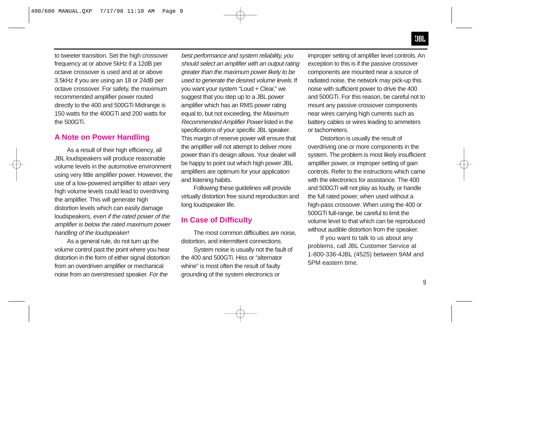to tweeter transition. Set the high crossover frequency at or above 5kHz if a 12dB per octave crossover is used and at or above 3.5kHz if you are using an 18 or 24dB per octave crossover. For safety, the maximum recommended amplifier power routed directly to the 400 and 500GTi Midrange is 150 watts for the 400GTi and 200 watts for the 500GTi.

#### **A Note on Power Handling**

As a result of their high efficiency, all JBL loudspeakers will produce reasonable volume levels in the automotive environment using very little amplifier power. However, the use of a low-powered amplifier to attain very high volume levels could lead to overdriving the amplifier. This will generate high distortion levels which can easily damage loudspeakers, even if the rated power of the amplifier is below the rated maximum power handling of the loudspeaker!

As a general rule, do not turn up the volume control past the point where you hear distortion in the form of either signal distortion from an overdriven amplifier or mechanical noise from an overstressed speaker. For the

best performance and system reliability, you should select an amplifier with an output rating greater than the maximum power likely to be used to generate the desired volume levels. If you want your system "Loud + Clear," we suggest that you step up to a JBL power amplifier which has an RMS power rating equal to, but not exceeding, the Maximum Recommended Amplifier Power listed in the specifications of your specific JBL speaker. This margin of reserve power will ensure that the amplifier will not attempt to deliver more power than it's design allows. Your dealer will be happy to point out which high power JBL amplifiers are optimum for your application and listening habits.

Following these guidelines will provide virtually distortion free sound reproduction and long loudspeaker life.

## **In Case of Difficulty**

The most common difficulties are noise, distortion, and intermittent connections.

System noise is usually not the fault of the 400 and 500GTi. Hiss or "alternator whine" is most often the result of faulty grounding of the system electronics or

improper setting of amplifier level controls. An exception to this is if the passive crossover components are mounted near a source of radiated noise, the network may pick-up this noise with sufficient power to drive the 400 and 500GTi. For this reason, be careful not to mount any passive crossover components near wires carrying high currents such as battery cables or wires leading to ammeters or tachometers.

Distortion is usually the result of overdriving one or more components in the system. The problem is most likely insufficient amplifier power, or improper setting of gain controls. Refer to the instructions which came with the electronics for assistance. The 400 and 500GTi will not play as loudly, or handle the full rated power, when used without a high-pass crossover. When using the 400 or 500GTi full-range, be careful to limit the volume level to that which can be reproduced without audible distortion from the speaker.

If you want to talk to us about any problems, call JBL Customer Service at 1-800-336-4JBL (4525) between 9AM and 5PM eastern time.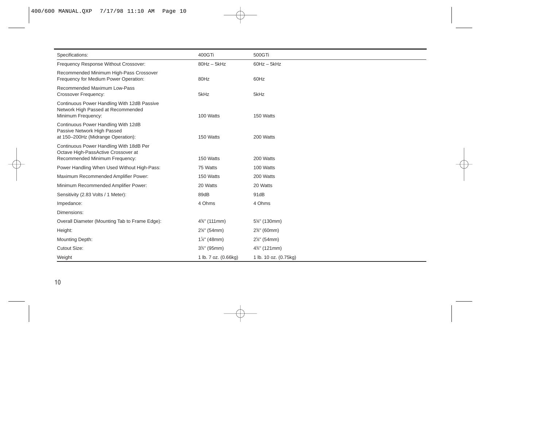| Specifications:                                                                                                  | 400GTi                  | 500GTi                   |
|------------------------------------------------------------------------------------------------------------------|-------------------------|--------------------------|
| Frequency Response Without Crossover:                                                                            | $80Hz - 5kHz$           | $60Hz - 5kHz$            |
| Recommended Minimum High-Pass Crossover<br>Frequency for Medium Power Operation:                                 | 80Hz                    | 60Hz                     |
| Recommended Maximum Low-Pass<br>Crossover Frequency:                                                             | 5kHz                    | 5kHz                     |
| Continuous Power Handling With 12dB Passive<br>Network High Passed at Recommended<br>Minimum Frequency:          | 100 Watts               | 150 Watts                |
| Continuous Power Handling With 12dB<br>Passive Network High Passed<br>at 150-200Hz (Midrange Operation):         | 150 Watts               | 200 Watts                |
| Continuous Power Handling With 18dB Per<br>Octave High-PassActive Crossover at<br>Recommended Minimum Frequency: | 150 Watts               | 200 Watts                |
| Power Handling When Used Without High-Pass:                                                                      | 75 Watts                | 100 Watts                |
| Maximum Recommended Amplifier Power:                                                                             | 150 Watts               | 200 Watts                |
| Minimum Recommended Amplifier Power:                                                                             | 20 Watts                | 20 Watts                 |
| Sensitivity (2.83 Volts / 1 Meter):                                                                              | 89dB                    | 91dB                     |
| Impedance:                                                                                                       | 4 Ohms                  | 4 Ohms                   |
| Dimensions:                                                                                                      |                         |                          |
| Overall Diameter (Mounting Tab to Frame Edge):                                                                   | $4\%$ " (111mm)         | $5\frac{1}{8}$ " (130mm) |
| Height:                                                                                                          | $2\frac{1}{8}$ " (54mm) | $2\%$ " (60mm)           |
| Mounting Depth:                                                                                                  | $1\%$ " (48mm)          | $2\frac{1}{8}$ " (54mm)  |
| <b>Cutout Size:</b>                                                                                              | $3\frac{3}{4}$ " (95mm) | $4\frac{3}{4}$ " (121mm) |
| Weight                                                                                                           | 1 lb. 7 oz. (0.66kg)    | 1 lb. 10 oz. (0.75kg)    |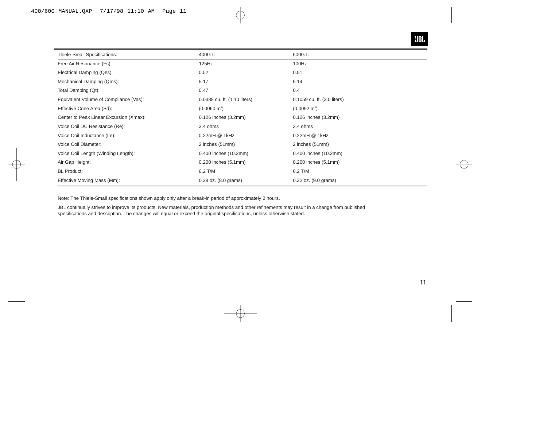

| Thiele-Small Specifications:            | 400GTi                           | 500GTi                      |
|-----------------------------------------|----------------------------------|-----------------------------|
| Free Air Resonance (Fs):                | 125Hz                            | 100Hz                       |
| Electrical Damping (Qes):               | 0.52                             | 0.51                        |
| Mechanical Damping (Qms):               | 5.17                             | 5.14                        |
| Total Damping (Qt):                     | 0.47                             | 0.4                         |
| Equivalent Volume of Compilance (Vas):  | 0.0388 cu. ft. (1.10 liters)     | 0.1059 cu. ft. (3.0 liters) |
| Effective Cone Area (Sd):               | $(0.0060 \text{ m}^2)$           | $(0.0092 \text{ m}^2)$      |
| Center to Peak Linear Excursion (Xmax): | 0.126 inches (3.2mm)             | $0.126$ inches $(3.2mm)$    |
| Voice Coil DC Resistance (Re):          | 3.4 ohms                         | 3.4 ohms                    |
| Voice Coil Inductance (Le):             | 0.22mH @ 1kHz                    | 0.22mH @ 1kHz               |
| Voice Coil Diameter:                    | 2 inches (51mm)                  | 2 inches (51mm)             |
| Voice Coil Length (Winding Length):     | 0.400 inches (10.2mm)            | 0.400 inches (10.2mm)       |
| Air Gap Height:                         | 0.200 inches (5.1mm)             | $0.200$ inches $(5.1$ mm)   |
| <b>BL</b> Product:                      | 6.2 T/M                          | 6.2 T/M                     |
| Effective Moving Mass (Mm):             | $0.28$ oz. $(8.0 \text{ grams})$ | 0.32 oz. (9.0 grams)        |

Note: The Thiele-Small specifications shown apply only after a break-in period of approximately 2 hours.

JBL continually strives to improve its products. New materials, production methods and other refinements may result in a change from published specifications and description. The changes will equal or exceed the original specifications, unless otherwise stated.